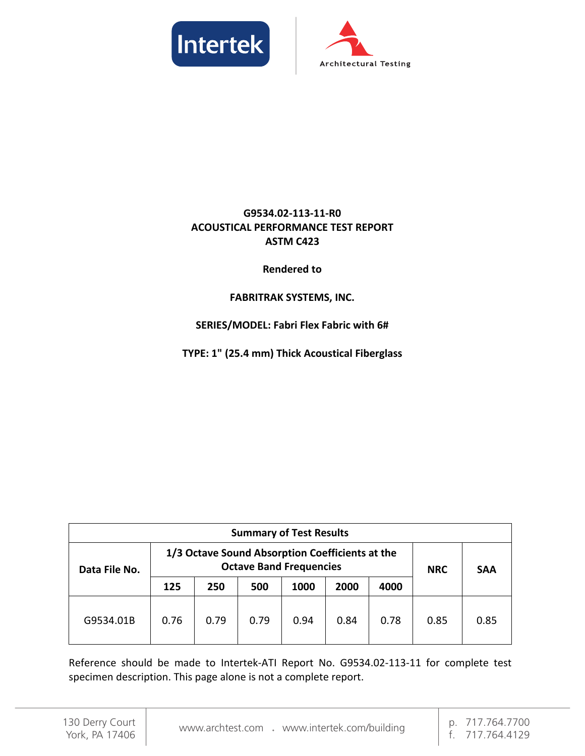



# **G9534.02-113-11-R0 ACOUSTICAL PERFORMANCE TEST REPORT ASTM C423**

#### **Rendered to**

## **FABRITRAK SYSTEMS, INC.**

## **SERIES/MODEL: Fabri Flex Fabric with 6#**

**TYPE: 1" (25.4 mm) Thick Acoustical Fiberglass**

| <b>Summary of Test Results</b> |                                                                                   |      |      |      |      |      |      |      |  |  |            |            |
|--------------------------------|-----------------------------------------------------------------------------------|------|------|------|------|------|------|------|--|--|------------|------------|
| Data File No.                  | 1/3 Octave Sound Absorption Coefficients at the<br><b>Octave Band Frequencies</b> |      |      |      |      |      |      |      |  |  | <b>NRC</b> | <b>SAA</b> |
|                                | 125                                                                               | 250  | 500  | 1000 | 2000 | 4000 |      |      |  |  |            |            |
| G9534.01B                      | 0.76                                                                              | 0.79 | 0.79 | 0.94 | 0.84 | 0.78 | 0.85 | 0.85 |  |  |            |            |

Reference should be made to Intertek-ATI Report No. G9534.02-113-11 for complete test specimen description. This page alone is not a complete report.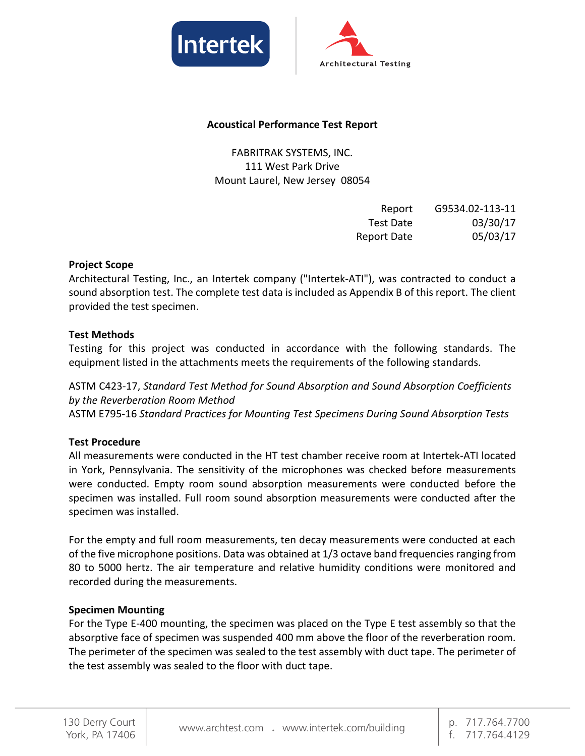



#### **Acoustical Performance Test Report**

FABRITRAK SYSTEMS, INC. 111 West Park Drive Mount Laurel, New Jersey 08054

| Report             | G9534.02-113-11 |
|--------------------|-----------------|
| Test Date          | 03/30/17        |
| <b>Report Date</b> | 05/03/17        |

#### **Project Scope**

Architectural Testing, Inc., an Intertek company ("Intertek-ATI"), was contracted to conduct a sound absorption test. The complete test data is included as Appendix B of this report. The client provided the test specimen.

#### **Test Methods**

Testing for this project was conducted in accordance with the following standards. The equipment listed in the attachments meets the requirements of the following standards.

ASTM C423-17, *Standard Test Method for Sound Absorption and Sound Absorption Coefficients by the Reverberation Room Method* ASTM E795-16 *Standard Practices for Mounting Test Specimens During Sound Absorption Tests*

#### **Test Procedure**

All measurements were conducted in the HT test chamber receive room at Intertek-ATI located in York, Pennsylvania. The sensitivity of the microphones was checked before measurements were conducted. Empty room sound absorption measurements were conducted before the specimen was installed. Full room sound absorption measurements were conducted after the specimen was installed.

For the empty and full room measurements, ten decay measurements were conducted at each of the five microphone positions. Data was obtained at 1/3 octave band frequencies ranging from 80 to 5000 hertz. The air temperature and relative humidity conditions were monitored and recorded during the measurements.

#### **Specimen Mounting**

For the Type E-400 mounting, the specimen was placed on the Type E test assembly so that the absorptive face of specimen was suspended 400 mm above the floor of the reverberation room. The perimeter of the specimen was sealed to the test assembly with duct tape. The perimeter of the test assembly was sealed to the floor with duct tape.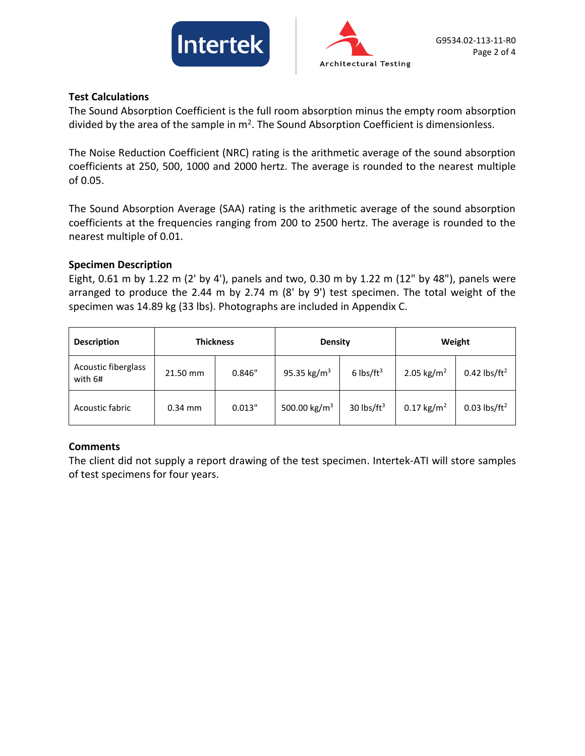



#### **Test Calculations**

The Sound Absorption Coefficient is the full room absorption minus the empty room absorption divided by the area of the sample in  $m^2$ . The Sound Absorption Coefficient is dimensionless.

The Noise Reduction Coefficient (NRC) rating is the arithmetic average of the sound absorption coefficients at 250, 500, 1000 and 2000 hertz. The average is rounded to the nearest multiple of 0.05.

The Sound Absorption Average (SAA) rating is the arithmetic average of the sound absorption coefficients at the frequencies ranging from 200 to 2500 hertz. The average is rounded to the nearest multiple of 0.01.

#### **Specimen Description**

Eight, 0.61 m by 1.22 m (2' by 4'), panels and two, 0.30 m by 1.22 m (12" by 48"), panels were arranged to produce the 2.44 m by 2.74 m (8' by 9') test specimen. The total weight of the specimen was 14.89 kg (33 lbs). Photographs are included in Appendix C.

| <b>Description</b>             | <b>Thickness</b> |        | <b>Density</b>           |                | Weight                   |                            |
|--------------------------------|------------------|--------|--------------------------|----------------|--------------------------|----------------------------|
| Acoustic fiberglass<br>with 6# | 21.50 mm         | 0.846" | 95.35 kg/m <sup>3</sup>  | 6 lbs/ $ft^3$  | 2.05 kg/m <sup>2</sup>   | $0.42$ lbs/ft <sup>2</sup> |
| Acoustic fabric                | $0.34$ mm        | 0.013" | 500.00 kg/m <sup>3</sup> | 30 lbs/ $ft^3$ | $0.17$ kg/m <sup>2</sup> | $0.03$ lbs/ft <sup>2</sup> |

## **Comments**

The client did not supply a report drawing of the test specimen. Intertek-ATI will store samples of test specimens for four years.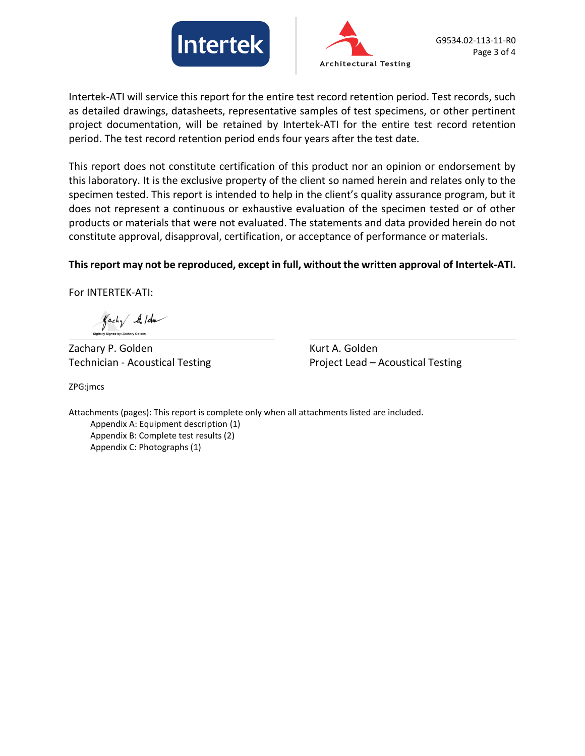



Intertek-ATI will service this report for the entire test record retention period. Test records, such as detailed drawings, datasheets, representative samples of test specimens, or other pertinent project documentation, will be retained by Intertek-ATI for the entire test record retention period. The test record retention period ends four years after the test date.

This report does not constitute certification of this product nor an opinion or endorsement by this laboratory. It is the exclusive property of the client so named herein and relates only to the specimen tested. This report is intended to help in the client's quality assurance program, but it does not represent a continuous or exhaustive evaluation of the specimen tested or of other products or materials that were not evaluated. The statements and data provided herein do not constitute approval, disapproval, certification, or acceptance of performance or materials.

#### **This report may not be reproduced, except in full, without the written approval of Intertek-ATI.**

For INTERTEK-ATI:

 $\int ach\sqrt{2}$ lda

Zachary P. Golden Kurt A. Golden

Technician - Acoustical Testing Technician - Acoustical Testing

ZPG:jmcs

Attachments (pages): This report is complete only when all attachments listed are included. Appendix A: Equipment description (1) Appendix B: Complete test results (2) Appendix C: Photographs (1)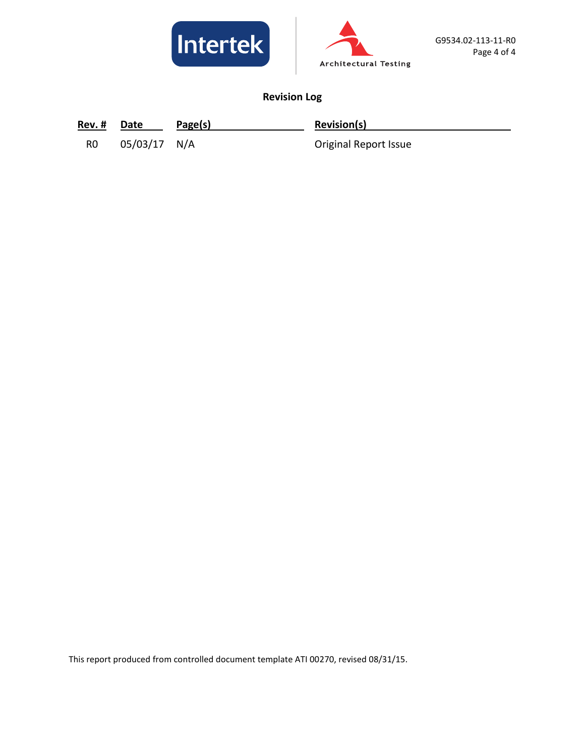



# **Revision Log**

| Rev. # | Date | Page(s) | <b>Revision(s)</b> |
|--------|------|---------|--------------------|
|--------|------|---------|--------------------|

R0 05/03/17 N/A Original Report Issue

This report produced from controlled document template ATI 00270, revised 08/31/15.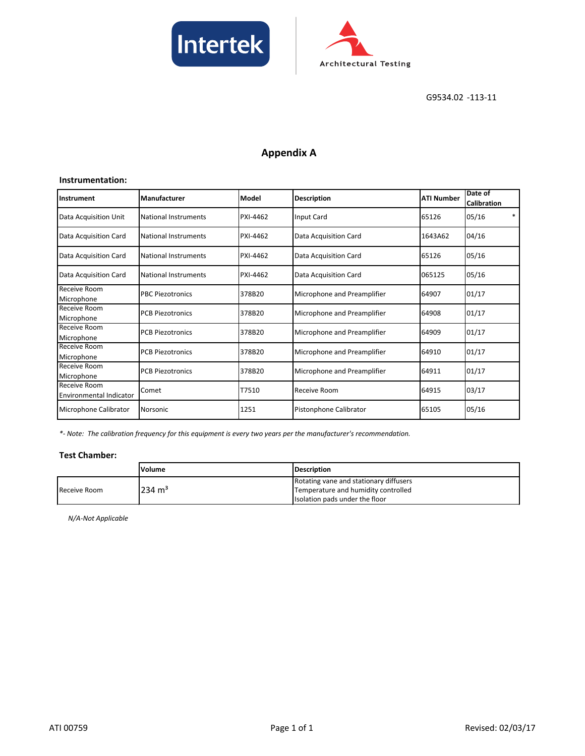



# **Appendix A**

#### **Instrumentation:**

| Instrument                                     | Manufacturer                | Model    | <b>Description</b>          | <b>ATI Number</b> | Date of<br><b>Calibration</b> |
|------------------------------------------------|-----------------------------|----------|-----------------------------|-------------------|-------------------------------|
| Data Acquisition Unit                          | <b>National Instruments</b> | PXI-4462 | Input Card                  | 65126             | $\ast$<br>05/16               |
| Data Acquisition Card                          | <b>National Instruments</b> | PXI-4462 | Data Acquisition Card       | 1643A62           | 04/16                         |
| Data Acquisition Card                          | National Instruments        | PXI-4462 | Data Acquisition Card       | 65126             | 05/16                         |
| Data Acquisition Card                          | National Instruments        | PXI-4462 | Data Acquisition Card       | 065125            | 05/16                         |
| Receive Room<br>Microphone                     | <b>PBC Piezotronics</b>     | 378B20   | Microphone and Preamplifier | 64907             | 01/17                         |
| Receive Room<br>Microphone                     | <b>PCB Piezotronics</b>     | 378B20   | Microphone and Preamplifier | 64908             | 01/17                         |
| Receive Room<br>Microphone                     | <b>PCB Piezotronics</b>     | 378B20   | Microphone and Preamplifier | 64909             | 01/17                         |
| Receive Room<br>Microphone                     | <b>PCB Piezotronics</b>     | 378B20   | Microphone and Preamplifier | 64910             | 01/17                         |
| Receive Room<br>Microphone                     | <b>PCB Piezotronics</b>     | 378B20   | Microphone and Preamplifier | 64911             | 01/17                         |
| Receive Room<br><b>Environmental Indicator</b> | Comet                       | T7510    | Receive Room                | 64915             | 03/17                         |
| Microphone Calibrator                          | Norsonic                    | 1251     | Pistonphone Calibrator      | 65105             | 05/16                         |

*\*- Note: The calibration frequency for this equipment is every two years per the manufacturer's recommendation.*

#### **Test Chamber:**

|              | Volume            | <b>IDescription</b>                    |
|--------------|-------------------|----------------------------------------|
|              |                   | Rotating vane and stationary diffusers |
| Receive Room | $234 \text{ m}^3$ | Temperature and humidity controlled    |
|              |                   | Isolation pads under the floor         |

*N/A-Not Applicable*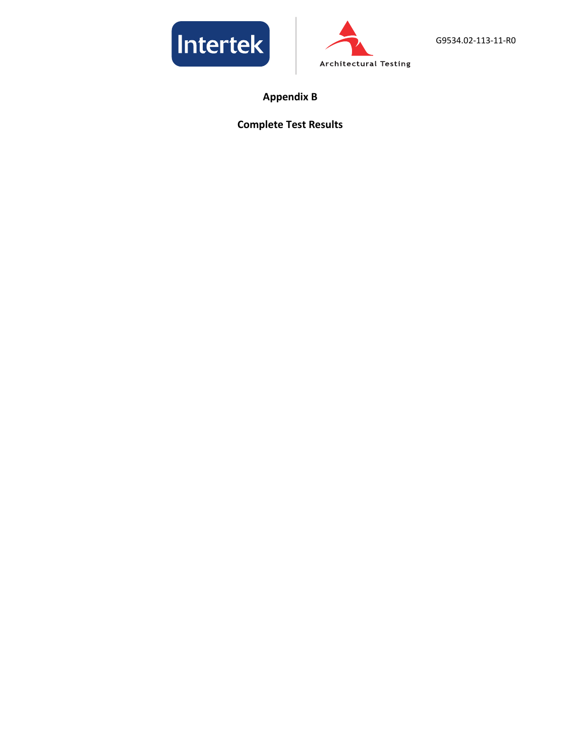



**Appendix B**

## **Complete Test Results**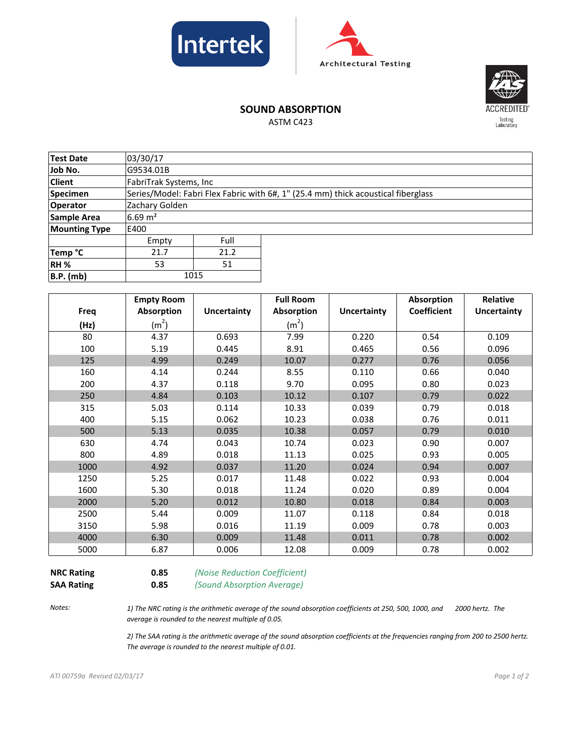





## **SOUND ABSORPTION**

ASTM C423

| Test Date            |                        | 03/30/17 |                                                                                   |  |  |  |
|----------------------|------------------------|----------|-----------------------------------------------------------------------------------|--|--|--|
|                      |                        |          |                                                                                   |  |  |  |
| Job No.              | G9534.01B              |          |                                                                                   |  |  |  |
| <b>Client</b>        | FabriTrak Systems, Inc |          |                                                                                   |  |  |  |
| <b>Specimen</b>      |                        |          | Series/Model: Fabri Flex Fabric with 6#, 1" (25.4 mm) thick acoustical fiberglass |  |  |  |
| <b>Operator</b>      | Zachary Golden         |          |                                                                                   |  |  |  |
| Sample Area          | $6.69 \text{ m}^2$     |          |                                                                                   |  |  |  |
| <b>Mounting Type</b> | E400                   |          |                                                                                   |  |  |  |
|                      | Empty                  | Full     |                                                                                   |  |  |  |
| Temp °C              | 21.7                   | 21.2     |                                                                                   |  |  |  |
| RH <sub>%</sub>      | 53                     | 51       |                                                                                   |  |  |  |
| <b>B.P.</b> (mb)     | 1015                   |          |                                                                                   |  |  |  |

|             | <b>Empty Room</b> |                    | <b>Full Room</b>  |             | Absorption         | Relative           |
|-------------|-------------------|--------------------|-------------------|-------------|--------------------|--------------------|
| <b>Freq</b> | Absorption        | <b>Uncertainty</b> | Absorption        | Uncertainty | <b>Coefficient</b> | <b>Uncertainty</b> |
| (Hz)        | (m <sup>2</sup> ) |                    | (m <sup>2</sup> ) |             |                    |                    |
| 80          | 4.37              | 0.693              | 7.99              | 0.220       | 0.54               | 0.109              |
| 100         | 5.19              | 0.445              | 8.91              | 0.465       | 0.56               | 0.096              |
| 125         | 4.99              | 0.249              | 10.07             | 0.277       | 0.76               | 0.056              |
| 160         | 4.14              | 0.244              | 8.55              | 0.110       | 0.66               | 0.040              |
| 200         | 4.37              | 0.118              | 9.70              | 0.095       | 0.80               | 0.023              |
| 250         | 4.84              | 0.103              | 10.12             | 0.107       | 0.79               | 0.022              |
| 315         | 5.03              | 0.114              | 10.33             | 0.039       | 0.79               | 0.018              |
| 400         | 5.15              | 0.062              | 10.23             | 0.038       | 0.76               | 0.011              |
| 500         | 5.13              | 0.035              | 10.38             | 0.057       | 0.79               | 0.010              |
| 630         | 4.74              | 0.043              | 10.74             | 0.023       | 0.90               | 0.007              |
| 800         | 4.89              | 0.018              | 11.13             | 0.025       | 0.93               | 0.005              |
| 1000        | 4.92              | 0.037              | 11.20             | 0.024       | 0.94               | 0.007              |
| 1250        | 5.25              | 0.017              | 11.48             | 0.022       | 0.93               | 0.004              |
| 1600        | 5.30              | 0.018              | 11.24             | 0.020       | 0.89               | 0.004              |
| 2000        | 5.20              | 0.012              | 10.80             | 0.018       | 0.84               | 0.003              |
| 2500        | 5.44              | 0.009              | 11.07             | 0.118       | 0.84               | 0.018              |
| 3150        | 5.98              | 0.016              | 11.19             | 0.009       | 0.78               | 0.003              |
| 4000        | 6.30              | 0.009              | 11.48             | 0.011       | 0.78               | 0.002              |
| 5000        | 6.87              | 0.006              | 12.08             | 0.009       | 0.78               | 0.002              |

**NRC Rating 0.85** *(Noise Reduction Coefficient)* **SAA Rating 0.85** *(Sound Absorption Average)*

*Notes:*

*1) The NRC rating is the arithmetic average of the sound absorption coefficients at 250, 500, 1000, and 2000 hertz. The average is rounded to the nearest multiple of 0.05.*

*2) The SAA rating is the arithmetic average of the sound absorption coefficients at the frequencies ranging from 200 to 2500 hertz. The average is rounded to the nearest multiple of 0.01.*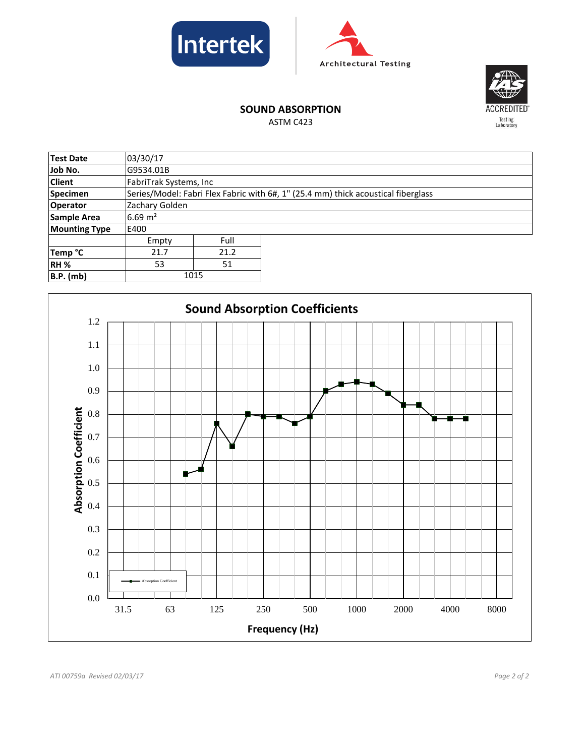





# **SOUND ABSORPTION**

ASTM C423

| <b>Test Date</b>     | 03/30/17               |      |                                                                                   |  |  |  |
|----------------------|------------------------|------|-----------------------------------------------------------------------------------|--|--|--|
| Job No.              | G9534.01B              |      |                                                                                   |  |  |  |
| <b>Client</b>        | FabriTrak Systems, Inc |      |                                                                                   |  |  |  |
| <b>Specimen</b>      |                        |      | Series/Model: Fabri Flex Fabric with 6#, 1" (25.4 mm) thick acoustical fiberglass |  |  |  |
| <b>Operator</b>      | Zachary Golden         |      |                                                                                   |  |  |  |
| <b>Sample Area</b>   | $6.69 \text{ m}^2$     |      |                                                                                   |  |  |  |
| <b>Mounting Type</b> | E400                   |      |                                                                                   |  |  |  |
|                      | Empty                  | Full |                                                                                   |  |  |  |
| Temp °C              | 21.7                   | 21.2 |                                                                                   |  |  |  |
| RH <sub>%</sub>      | 53                     | 51   |                                                                                   |  |  |  |
| <b>B.P.</b> (mb)     | 1015                   |      |                                                                                   |  |  |  |